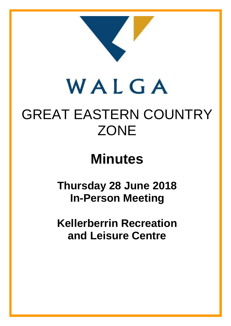

# WALGA

# GREAT EASTERN COUNTRY **ZONE**

# **Minutes**

# **Thursday 28 June 2018 In-Person Meeting**

**Kellerberrin Recreation and Leisure Centre**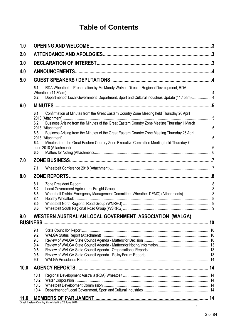# **Table of Contents**

| 1.0  | .3                                                                                                                                                                                               |  |  |  |  |
|------|--------------------------------------------------------------------------------------------------------------------------------------------------------------------------------------------------|--|--|--|--|
| 2.0  |                                                                                                                                                                                                  |  |  |  |  |
| 3.0  |                                                                                                                                                                                                  |  |  |  |  |
| 4.0  |                                                                                                                                                                                                  |  |  |  |  |
| 5.0  |                                                                                                                                                                                                  |  |  |  |  |
|      | 5.1<br>RDA Wheatbelt - Presentation by Ms Mandy Walker, Director Regional Development, RDA<br>Department of Local Government, Department, Sport and Cultural Industries Update (11.45am)4<br>5.2 |  |  |  |  |
| 6.0  |                                                                                                                                                                                                  |  |  |  |  |
|      | Confirmation of Minutes from the Great Eastern Country Zone Meeting held Thursday 26 April<br>6.1                                                                                                |  |  |  |  |
|      | Business Arising from the Minutes of the Great Eastern Country Zone Meeting Thursday 1 March<br>6.2                                                                                              |  |  |  |  |
|      | Business Arising from the Minutes of the Great Eastern Country Zone Meeting Thursday 26 April<br>6.3                                                                                             |  |  |  |  |
|      | Minutes from the Great Eastern Country Zone Executive Committee Meeting held Thursday 7<br>6.4<br>6.5                                                                                            |  |  |  |  |
| 7.0  |                                                                                                                                                                                                  |  |  |  |  |
|      | 7.1                                                                                                                                                                                              |  |  |  |  |
| 8.0  |                                                                                                                                                                                                  |  |  |  |  |
|      | 8.1<br>8.2<br>Wheatbelt District Emergency Management Committee (Wheatbelt DEMC) (Attachments)8<br>8.3<br>8.4<br>8.5<br>8.6                                                                      |  |  |  |  |
| 9.0  | WESTERN AUSTRALIAN LOCAL GOVERNMENT ASSOCIATION (WALGA)                                                                                                                                          |  |  |  |  |
|      | 9.1<br>9.2<br>9.3<br>9.4<br>9.5<br>9.6<br>9.7                                                                                                                                                    |  |  |  |  |
| 10.0 |                                                                                                                                                                                                  |  |  |  |  |
|      | 10.1<br>10.2<br>10.3<br>10.4                                                                                                                                                                     |  |  |  |  |
| 11.0 | Great Eastern Country Zone Meeting 28 June 2018                                                                                                                                                  |  |  |  |  |
|      |                                                                                                                                                                                                  |  |  |  |  |

 $\mathbf{1}$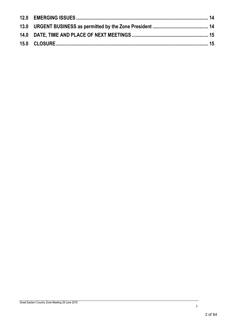1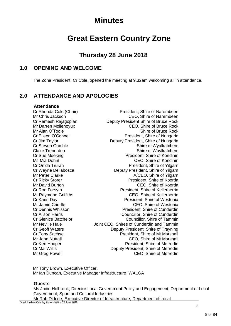# **Minutes**

# **Great Eastern Country Zone**

# **Thursday 28 June 2018**

# <span id="page-3-0"></span>**1.0 OPENING AND WELCOME**

The Zone President, Cr Cole, opened the meeting at 9.32am welcoming all in attendance.

# <span id="page-3-1"></span>**2.0 ATTENDANCE AND APOLOGIES**

#### **Attendance**

Cr Rhonda Cole (Chair) President, Shire of Narembeen Mr Chris Jackson CEO, Shire of Narembeen Cr Ramesh Rajagoplan Deputy President Shire of Bruce Rock Mr Darren Mollenoyux CEO, Shire of Bruce Rock Mr Alan O'Toole Shire of Bruce Rock Cr Eileen O'Connell President, Shire of Nungarin Cr Jim Taylor Deputy President, Shire of Nungarin Cr Steven Gamble<br>
Claire Trenorden Shire of Wyalkatchem<br>
Shire of Waylkatchem Shire of Waylkatchem Cr Sue Meeking **President**, Shire of Kondinin Ms Mia Dohnt CEO, Shire of Kondinin Cr Onida Truran **President**, Shire of Yilgarn Cr Wayne Dellabosca Deputy President, Shire of Yilgarn Mr Peter Clarke A/CEO, Shire of Yilgarn Cr Ricky Storer **President**, Shire of Koorda Mr David Burton CEO, Shire of Koorda Cr Rod Forsyth President, Shire of Kellerberrin Mr Raymond Griffiths CEO, Shire of Kellerberrin Cr Karin Day President, Shire of Westonia Mr Jamie Criddle CRO CEO, Shire of Westonia Cr Dennis Whisson **President**, Shire of Cunderdin Cr Alison Harris Councillor, Shire of Cunderdin Cr Glenice Batchelor Councillor, Shire of Tammin Mr Neville Hale Joint CEO, Shires of Cunderdin and Tammin Cr Geoff Waters Deputy President, Shire of Trayning<br>Cr Tony Sachse President, Shire of Mt Marshall President, Shire of Mt Marshall Mr John Nuttall CEO, Shire of Mt Marshall Cr Ken Hooper President, Shire of Merredin Cr Mal Willis Deputy President, Shire of Merredin Mr Greg Powell **CEO**, Shire of Merredin

Mr Tony Brown, Executive Officer, Mr Ian Duncan, Executive Manager Infrastructure, WALGA

#### **Guests**

Ms Jodie Holbrook, Director Local Government Policy and Engagement, Department of Local Government, Sport and Cultural Industries Mr Rob Didcoe, Executive Director of Infrastructure, Department of Local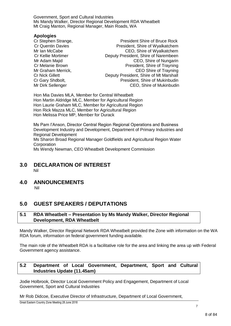Government, Sport and Cultural Industries Ms Mandy Walker, Director Regional Development RDA Wheatbelt Mt Craig Manton, Regional Manager, Main Roads, WA

#### **Apologies**

- 
- Cr Stephen Strange, President Shire of Bruce Rock Cr Quentin Davies **President, Shire of Wyalkatchem** Mr Ian McCabe CEO, Shire of Wyalkatchem Cr Kellie Mortimer **Deputy President, Shire of Narembeen** Mr Adam Majid<br>
CEO, Shire of Nungarin<br>
Cr Melanie Brown<br>
Cr Melanie Brown President, Shire of Trayning Mr Graham Merrick, CEO Shire of Trayning Cr Nick Gillett **Deputy President, Shire of Mt Marshall Cr Gary Shdbolt, Cr Gary Shdbolt, President, Shire of Mukinbudin** Mr Dirk Sellenger CEO, Shire of Mukinbudin

Hon Mia Davies MLA, Member for Central Wheatbelt Hon Martin Aldridge MLC, Member for Agricultural Region Hon Laurie Graham MLC, Member for Agricultural Region Hon Rick Mazza MLC, Member for Agricultural Region Hon Melissa Price MP, Member for Durack

Ms Pam I'Anson, Director Central Region Regional Operations and Business Development Industry and Development, Department of Primary Industries and Regional Development Ms Sharon Broad Regional Manager Goldfields and Agricultural Region Water **Corporation** Ms Wendy Newman, CEO Wheatbelt Development Commission

#### <span id="page-4-0"></span>**3.0 DECLARATION OF INTEREST** Nil

<span id="page-4-1"></span>**4.0 ANNOUNCEMENTS**

Nil

# <span id="page-4-2"></span>**5.0 GUEST SPEAKERS / DEPUTATIONS**

#### <span id="page-4-3"></span>**5.1 RDA Wheatbelt – Presentation by Ms Mandy Walker, Director Regional Development, RDA Wheatbelt**

Mandy Walker, Director Regional Network RDA Wheatbelt provided the Zone with information on the WA RDA forum, information on federal government funding available.

The main role of the Wheatbelt RDA is a facilitative role for the area and linking the area up with Federal Government agency assistance.

### <span id="page-4-4"></span>**5.2 Department of Local Government, Department, Sport and Cultural Industries Update (11.45am)**

Jodie Holbrook, Director Local Government Policy and Engagement, Department of Local Government, Sport and Cultural Industries

Mr Rob Didcoe, Executive Director of Infrastructure, Department of Local Government,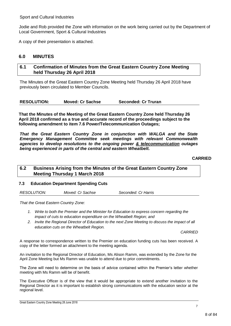Jodie and Rob provided the Zone with information on the work being carried out by the Department of Local Government, Sport & Cultural Industries

A copy of their presentation is attached.

## <span id="page-5-0"></span>**6.0 MINUTES**

### <span id="page-5-1"></span>**6.1 Confirmation of Minutes from the Great Eastern Country Zone Meeting held Thursday 26 April 2018**

The Minutes of the Great Eastern Country Zone Meeting held Thursday 26 April 2018 have previously been circulated to Member Councils.

| <b>RESOLUTION:</b> | <b>Moved: Cr Sachse</b> | Seconded: Cr Truran |
|--------------------|-------------------------|---------------------|
|--------------------|-------------------------|---------------------|

**That the Minutes of the Meeting of the Great Eastern Country Zone held Thursday 26 April 2018 confirmed as a true and accurate record of the proceedings subject to the following amendment to item 7.6 Power/Telecommunication Outages;** 

*That the Great Eastern Country Zone in conjunction with WALGA and the State Emergency Management Committee seek meetings with relevant Commonwealth agencies to develop resolutions to the ongoing power & telecommunication outages being experienced in parts of the central and eastern Wheatbelt.*

#### **CARRIED**

## <span id="page-5-2"></span>**6.2 Business Arising from the Minutes of the Great Eastern Country Zone Meeting Thursday 1 March 2018**

#### **7.3 Education Department Spending Cuts**

*RESOLUTION: Moved: Cr Sachse Seconded: Cr Harris* 

*That the Great Eastern Country Zone:*

- *1. Write to both the Premier and the Minister for Education to express concern regarding the impact of cuts to education expenditure on the Wheatbelt Region; and*
- *2. Invite the Regional Director of Education to the next Zone Meeting to discuss the impact of all education cuts on the Wheatbelt Region.*

*CARRIED*

A response to correspondence written to the Premier on education funding cuts has been received. A copy of the letter formed an attachment to the meeting agenda.

An invitation to the Regional Director of Education, Ms Alison Ramm, was extended by the Zone for the April Zone Meeting but Ms Ramm was unable to attend due to prior commitments.

The Zone will need to determine on the basis of advice contained within the Premier's letter whether meeting with Ms Ramm will be of benefit.

The Executive Officer is of the view that it would be appropriate to extend another invitation to the Regional Director as it is important to establish strong communications with the education sector at the regional level.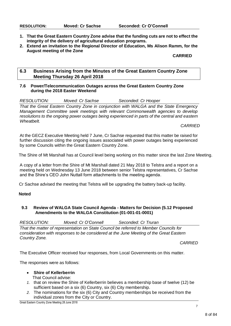- **1. That the Great Eastern Country Zone advise that the funding cuts are not to effect the integrity of the delivery of agricultural education programs.**
- **2. Extend an invitation to the Regional Director of Education, Ms Alison Ramm, for the August meeting of the Zone**

#### **CARRIED**

### <span id="page-6-0"></span>**6.3 Business Arising from the Minutes of the Great Eastern Country Zone Meeting Thursday 26 April 2018**

#### **7.6 Power/Telecommunication Outages across the Great Eastern Country Zone during the 2018 Easter Weekend**

| <b>RESOLUTION:</b><br>Moved: Cr Sachse | Seconded: Cr Hooper |
|----------------------------------------|---------------------|
|----------------------------------------|---------------------|

*That the Great Eastern Country Zone in conjunction with WALGA and the State Emergency Management Committee seek meetings with relevant Commonwealth agencies to develop resolutions to the ongoing power outages being experienced in parts of the central and eastern Wheatbelt.*

#### *CARRIED*

At the GECZ Executive Meeting held 7 June, Cr Sachse requested that this matter be raised for further discussion citing the ongoing issues associated with power outages being experienced by some Councils within the Great Eastern Country Zone.

The Shire of Mt Marshall has at Council level being working on this matter since the last Zone Meeting.

A copy of a letter from the Shire of Mt Marshall dated 21 May 2018 to Telstra and a report on a meeting held on Wednesday 13 June 2018 between senior Telstra representatives, Cr Sachse and the Shire's CEO John Nuttall form attachments to the meeting agenda.

Cr Sachse advised the meeting that Telstra will be upgrading the battery back-up facility.

#### **Noted**

#### **9.3 Review of WALGA State Council Agenda - Matters for Decision (5.12 Proposed Amendments to the WALGA Constitution (01-001-01-0001)**

*RESOLUTION: Moved: Cr O'Connell Seconded: Cr Truran*

*That the matter of representation on State Council be referred to Member Councils for consideration with responses to be considered at the June Meeting of the Great Eastern Country Zone.*

*CARRIED*

The Executive Officer received four responses, from Local Governments on this matter.

The responses were as follows:

- **Shire of Kellerberrin**
	- That Council advise:
- *1.* that on review the Shire of Kellerberrin believes a membership base of twelve (12) be sufficient based on a six (6) Country, six (6) City membership.
- *2.* The nominations for the six (6) City and Country memberships be received from the individual zones from the City or Country.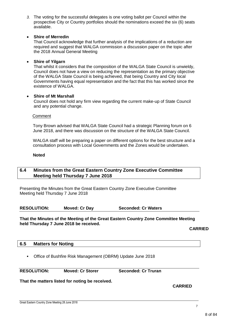#### **Shire of Merredin**

That Council acknowledge that further analysis of the implications of a reduction are required and suggest that WALGA commission a discussion paper on the topic after the 2018 Annual General Meeting

#### **Shire of Yilgarn**

That whilst it considers that the composition of the WALGA State Council is unwieldy, Council does not have a view on reducing the representation as the primary objective of the WALGA State Council is being achieved, that being Country and City local Governments having equal representation and the fact that this has worked since the existence of WALGA.

#### **Shire of Mt Marshall**

Council does not hold any firm view regarding the current make-up of State Council and any potential change.

#### Comment

Tony Brown advised that WALGA State Council had a strategic Planning forum on 6 June 2018, and there was discussion on the structure of the WALGA State Council.

WALGA staff will be preparing a paper on different options for the best structure and a consultation process with Local Governments and the Zones would be undertaken.

#### **Noted**

#### <span id="page-7-0"></span>**6.4 Minutes from the Great Eastern Country Zone Executive Committee Meeting held Thursday 7 June 2018**

Presenting the Minutes from the Great Eastern Country Zone Executive Committee Meeting held Thursday 7 June 2018

**RESOLUTION: Moved: Cr Day Seconded: Cr Waters**

#### **That the Minutes of the Meeting of the Great Eastern Country Zone Committee Meeting held Thursday 7 June 2018 be received.**

**CARRIED**

#### <span id="page-7-1"></span>**6.5 Matters for Noting**

Office of Bushfire Risk Management (OBRM) Update June 2018

**RESOLUTION: Moved: Cr Storer Seconded: Cr Truran**

**That the matters listed for noting be received.**

**CARRIED**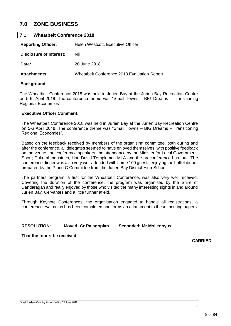# <span id="page-8-0"></span>**7.0 ZONE BUSINESS**

<span id="page-8-1"></span>

| <b>Wheatbelt Conference 2018</b><br>7.1 |                                             |  |
|-----------------------------------------|---------------------------------------------|--|
| <b>Reporting Officer:</b>               | Helen Westcott, Executive Officer           |  |
| <b>Disclosure of Interest:</b>          | Nil                                         |  |
| Date:                                   | 20 June 2018                                |  |
| <b>Attachments:</b>                     | Wheatbelt Conference 2018 Evaluation Report |  |
|                                         |                                             |  |

#### **Background:**

The Wheatbelt Conference 2018 was held in Jurien Bay at the Jurien Bay Recreation Centre on 5-6 April 2018. The conference theme was "Small Towns – BIG Dreams – Transitioning Regional Economies".

#### **Executive Officer Comment:**

The Wheatbelt Conference 2018 was held in Jurien Bay at the Jurien Bay Recreation Centre on 5-6 April 2018. The conference theme was "Small Towns – BIG Dreams – Transitioning Regional Economies".

Based on the feedback received by members of the organising committee, both during and after the conference, all delegates seemed to have enjoyed themselves, with positive feedback on the venue, the conference speakers, the attendance by the Minister for Local Government; Sport; Cultural Industries, Hon David Templeman MLA and the preconference bus tour. The conference dinner was also very well attended with some 100 guests enjoying the buffet dinner prepared by the P and C Committee from the Jurien Bay District High School.

The partners program, a first for the Wheatbelt Conference, was also very well received. Covering the duration of the conference, the program was organised by the Shire of Dandaragan and really enjoyed by those who visited the many interesting sights in and around Jurien Bay, Cervantes and a little further afield.

Through Keynote Conferences, the organisation engaged to handle all registrations, a conference evaluation has been completed and forms an attachment to these meeting papers.

| <b>RESOLUTION:</b> | Moved: Cr Rajagoplan |  |
|--------------------|----------------------|--|
|--------------------|----------------------|--|

**RESOLUTION: Moved: Cr Rajagoplan Seconded: Mr Mollenoyux**

**That the report be received**

**CARRIED**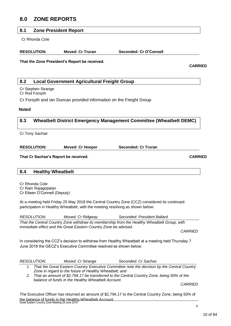# <span id="page-9-0"></span>**8.0 ZONE REPORTS**

#### <span id="page-9-1"></span>**8.1 Zone President Report**

Cr Rhonda Cole

| <b>RESOLUTION:</b> | <b>Moved: Cr Truran</b> | Seconded: Cr O'Connell |
|--------------------|-------------------------|------------------------|
|                    |                         |                        |

**That the Zone President's Report be received.**

**CARRIED**

#### <span id="page-9-2"></span>**8.2 Local Government Agricultural Freight Group**

Cr Stephen Strange Cr Rod Forsyth

Cr Forsyth and Ian Duncan provided information on the Freight Group

**Noted**

#### <span id="page-9-3"></span>**8.3 Wheatbelt District Emergency Management Committee (Wheatbelt DEMC)**

Cr Tony Sachse

**RESOLUTION: Moved: Cr Hooper Seconded: Cr Truran**

**That Cr Sachse's Report be received. CARRIED**

<span id="page-9-4"></span>

| <b>Healthy Wheatbelt</b><br>8.4 |
|---------------------------------|
|---------------------------------|

Cr Rhonda Cole Cr Ram Rajagopalan Cr Eileen O'Connell (Deputy)

At a meeting held Friday 25 May 2018 the Central Country Zone (CCZ) considered its continued participation in Healthy Wheatbelt, with the meeting resolving as shown below:

*RESOLUTION: Moved: Cr Ridgway Seconded: President Ballard*

*That the Central Country Zone withdraw its membership from the Healthy Wheatbelt Group, with immediate effect and the Great Eastern Country Zone be advised.*

*CARRIED*

In considering the CCZ's decision to withdraw from Healthy Wheatbelt at a meeting held Thursday 7 June 2018 the GECZ's Executive Committee resolved as shown below:

| <i>RESOLUTION:</i> | Moved: Cr Strange                                      | Seconded: Cr Sachse                                                                            |                |
|--------------------|--------------------------------------------------------|------------------------------------------------------------------------------------------------|----------------|
|                    | Zone in regard to the future of Healthy Wheatbelt; and | 1. That the Great Eastern Country Executive Committee note the decision by the Central Country |                |
|                    | balance of funds in the Healthy Wheatbelt Account.     | 2. That an amount of \$2,794.17 be transferred to the Central Country Zone, being 50% of the   |                |
|                    |                                                        |                                                                                                | <b>CARRIED</b> |

Great Eastern Country Zone Meeting 28 June 2018 The Executive Officer has returned an amount of \$2,794.17 to the Central Country Zone, being 50% of the balance of funds in the Healthy Wheatbelt Account.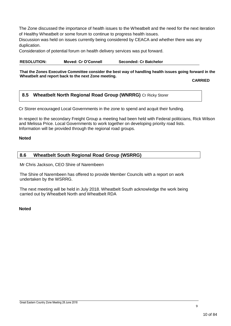The Zone discussed the importance of health issues to the Wheatbelt and the need for the next iteration of Healthy Wheatbelt or some forum to continue to progress health issues.

Discussion was held on issues currently being considered by CEACA and whether there was any duplication.

Consideration of potential forum on health delivery services was put forward.

**RESOLUTION: Moved: Cr O'Connell Seconded: Cr Batchelor** 

**That the Zones Executive Committee consider the best way of handling health issues going forward in the Wheatbelt and report back to the next Zone meeting.**

**CARRIED**

#### <span id="page-10-0"></span>**8.5 Wheatbelt North Regional Road Group (WNRRG)** Cr Ricky Storer

Cr Storer encouraged Local Governments in the zone to spend and acquit their funding.

In respect to the secondary Freight Group a meeting had been held with Federal politicians, Rick Wilson and Melissa Price. Local Governments to work together on developing priority road lists. Information will be provided through the regional road groups.

#### **Noted**

<span id="page-10-1"></span>

| <b>Wheatbelt South Regional Road Group (WSRRG)</b><br>8.6 |  |
|-----------------------------------------------------------|--|
|-----------------------------------------------------------|--|

Mr Chris Jackson, CEO Shire of Narembeen

The Shire of Narembeen has offered to provide Member Councils with a report on work undertaken by the WSRRG.

The next meeting will be held in July 2018. Wheatbelt South acknowledge the work being carried out by Wheatbelt North and Wheatbelt RDA

#### **Noted**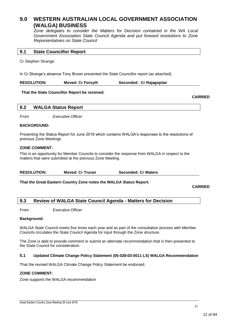## <span id="page-11-0"></span>**9.0 WESTERN AUSTRALIAN LOCAL GOVERNMENT ASSOCIATION (WALGA) BUSINESS**

*Zone delegates to consider the Matters for Decision contained in the WA Local Government Association State Council Agenda and put forward resolutions to Zone Representatives on State Council*

#### <span id="page-11-1"></span>**9.1 State Councillor Report**

Cr Stephen Strange

In Cr Strange's absence Tony Brown presented the State Councillor report (as attached).

**RESOLUTION: Moved: Cr Forsyth Seconded: Cr Rajagoplan**

#### **That the State Councillor Report be received.**

**CARRIED**

#### <span id="page-11-2"></span>**9.2 WALGA Status Report**

*From Executive Officer*

#### **BACKGROUND:**

Presenting the Status Report for June 2018 which contains WALGA's responses to the resolutions of previous Zone Meetings

#### **ZONE COMMENT:**

This is an opportunity for Member Councils to consider the response from WALGA in respect to the matters that were submitted at the previous Zone Meeting.

| <b>RESOLUTION:</b> | <b>Moved: Cr Truran</b> | <b>Seconded: Cr Waters</b> |
|--------------------|-------------------------|----------------------------|
|--------------------|-------------------------|----------------------------|

**That the Great Eastern Country Zone notes the WALGA Status Report.**

**CARRIED**

#### <span id="page-11-3"></span>**9.3 Review of WALGA State Council Agenda - Matters for Decision**

From Executive Officer

#### **Background:**

WALGA State Council meets five times each year and as part of the consultation process with Member Councils circulates the State Council Agenda for input through the Zone structure.

The Zone is able to provide comment or submit an alternate recommendation that is then presented to the State Council for consideration.

#### **5.1 Updated Climate Change Policy Statement (05-028-03-0011 LS) WALGA Recommendation**

That the revised WALGA Climate Change Policy Statement be endorsed.

#### **ZONE COMMENT:**

Zone supports the WALGA recommendation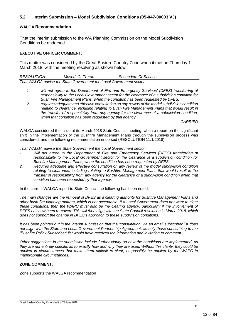#### **5.2 Interim Submission – Model Subdivision Conditions (05-047-00003 VJ)**

#### **WALGA Recommendation**

That the interim submission to the WA Planning Commission on the Model Subdivision Conditions be endorsed.

#### **EXECUTIVE OFFICER COMMENT:**

This matter was considered by the Great Eastern Country Zone when it met on Thursday 1 March 2018, with the meeting resolving as shown below:

| <i>RESOLUTION:</i>                                                  | Moved: Cr Truran | Seconded: Cr Sachse |
|---------------------------------------------------------------------|------------------|---------------------|
| That WALGA advise the State Government the Local Government sector: |                  |                     |

- *1. will not agree to the Department of Fire and Emergency Services' (DFES) transferring of responsibility to the Local Government sector for the clearance of a subdivision condition for Bush Fire Management Plans, when the condition has been requested by DFES;*
- *2. requires adequate and effective consultation on any review of the model subdivision condition relating to clearance, including relating to Bush Fire Management Plans that would result in the transfer of responsibility from any agency for the clearance of a subdivision condition, when that condition has been requested by that agency.*

*CARRIED*

WALGA considered the issue at its March 2018 State Council meeting, when a report on the significant shift in the implementation of the Bushfire Management Plans through the subdivision process was considered, and the following recommendation endorsed (RESOLUTION 11.1/2018):

*That WALGA advise the State Government the Local Government sector:*

- *1. Will not agree to the Department of Fire and Emergency Services (DFES) transferring of responsibility to the Local Government sector for the clearance of a subdivision condition for Bushfire Management Plans, when the condition has been requested by DFES;*
- *2. Requires adequate and effective consultation on any review of the model subdivision condition relating to clearance, including relating to Bushfire Management Plans that would result in the transfer of responsibility from any agency for the clearance of a subdivision condition when that condition has been requested by that agency.*

In the current WALGA report to State Council the following has been noted:

*The main changes are the removal of DFES as a clearing authority for Bushfire Management Plans and other bush fire planning matters, which is not acceptable. If a Local Government does not want to clear these conditions, then the WAPC must also be the clearing agency, particularly if the involvement of DFES has now been removed. This will then align with the State Council resolution in March 2018, which does not support the change in DFES's approach to these subdivision conditions.*

*It has been pointed out in the interim submission that the 'consultation' via an email subscriber list does not align with the State and Local Government Partnership Agreement, as only those subscribing to the 'Bushfire Policy Subscriber' list would have received the information and invitation to comment.*

*Other suggestions in the submission include further clarity on how the conditions are implemented, as they are not entirely specific as to exactly how and why they are used. Without this clarity, they could be applied in circumstances that make them difficult to clear, or possibly be applied by the WAPC in inappropriate circumstances.*

#### **ZONE COMMENT:**

Zone supports the WALGA recommendation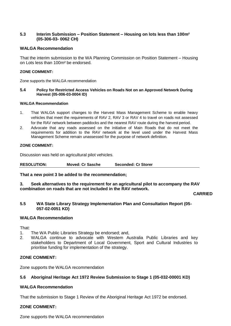#### **5.3 Interim Submission – Position Statement – Housing on lots less than 100m² (05-306-03- 0062 CH)**

#### **WALGA Recommendation**

That the interim submission to the WA Planning Commission on Position Statement – Housing on Lots less than 100m² be endorsed.

#### **ZONE COMMENT:**

Zone supports the WALGA recommendation

#### **5.4 Policy for Restricted Access Vehicles on Roads Not on an Approved Network During Harvest (05-006-03-0004 ID)**

#### **WALGA Recommendation**

- 1. That WALGA support changes to the Harvest Mass Management Scheme to enable heavy vehicles that meet the requirements of RAV 2, RAV 3 or RAV 4 to travel on roads not assessed for the RAV network between paddocks and the nearest RAV route during the harvest period.
- 2. Advocate that any roads assessed on the initiative of Main Roads that do not meet the requirements for addition to the RAV network at the level used under the Harvest Mass Management Scheme remain unassessed for the purpose of network definition.

#### **ZONE COMMENT:**

Discussion was held on agricultural pilot vehicles.

**RESOLUTION: Moved: Cr Sasche Seconded: Cr Storer**

#### **That a new point 3 be added to the recommendation;**

**3. Seek alternatives to the requirement for an agricultural pilot to accompany the RAV combination on roads that are not included in the RAV network.**

**CARRIED**

#### **5.5 WA State Library Strategy Implementation Plan and Consultation Report (05- 057-02-0051 KD)**

#### **WALGA Recommendation**

That:

- 1. The WA Public Libraries Strategy be endorsed; and,
- 2. WALGA continue to advocate with Western Australia Public Libraries and key stakeholders to Department of Local Government, Sport and Cultural Industries to prioritise funding for implementation of the strategy.

#### **ZONE COMMENT:**

Zone supports the WALGA recommendation

#### **5.6 Aboriginal Heritage Act 1972 Review Submission to Stage 1 (05-032-00001 KD)**

#### **WALGA Recommendation**

That the submission to Stage 1 Review of the Aboriginal Heritage Act 1972 be endorsed.

#### **ZONE COMMENT:**

Zone supports the WALGA recommendation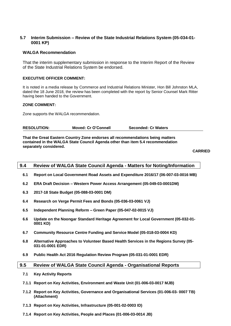#### **5.7 Interim Submission – Review of the State Industrial Relations System (05-034-01- 0001 KP)**

#### **WALGA Recommendation**

That the interim supplementary submission in response to the Interim Report of the Review of the State Industrial Relations System be endorsed.

#### **EXECUTIVE OFFICER COMMENT:**

It is noted in a media release by Commerce and Industrial Relations Minister, Hon Bill Johnston MLA, dated the 18 June 2018, the review has been completed with the report by Senior Counsel Mark Ritter having been handed to the Government.

#### **ZONE COMMENT:**

Zone supports the WALGA recommendation.

**RESOLUTION: Moved: Cr O'Connell Seconded: Cr Waters**

**That the Great Eastern Country Zone endorses all recommendations being matters contained in the WALGA State Council Agenda other than item 5.4 recommendation separately considered.**

**CARRIED**

#### <span id="page-14-0"></span>**9.4 Review of WALGA State Council Agenda - Matters for Noting/Information**

- **6.1 Report on Local Government Road Assets and Expenditure 2016/17 (06-007-03-0016 MB)**
- **6.2 ERA Draft Decision – Western Power Access Arrangement (05-049-03-0001DM)**
- **6.3 2017-18 State Budget (05-088-03-0001 DM)**
- **6.4 Research on Verge Permit Fees and Bonds (05-036-03-0061 VJ)**
- **6.5 Independent Planning Reform – Green Paper (05-047-02-0015 VJ)**
- **6.6 Update on the Noongar Standard Heritage Agreement for Local Government (05-032-01- 0001 KD)**
- **6.7 Community Resource Centre Funding and Service Model (05-018-03-0004 KD)**
- **6.8 Alternative Approaches to Volunteer Based Health Services in the Regions Survey (05- 031-01-0001 EDR)**
- **6.9 Public Health Act 2016 Regulation Review Program (05-031-01-0001 EDR)**

#### <span id="page-14-1"></span>**9.5 Review of WALGA State Council Agenda - Organisational Reports**

- **7.1 Key Activity Reports**
- **7.1.1 Report on Key Activities, Environment and Waste Unit (01-006-03-0017 MJB)**
- **7.1.2 Report on Key Activities, Governance and Organisational Services (01-006-03- 0007 TB) (Attachment)**
- **7.1.3 Report on Key Activities, Infrastructure (05-001-02-0003 ID)**
- **7.1.4 Report on Key Activities, People and Places (01-006-03-0014 JB)**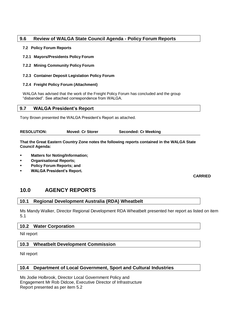#### <span id="page-15-0"></span>**9.6 Review of WALGA State Council Agenda - Policy Forum Reports**

#### **7.2 Policy Forum Reports**

- **7.2.1 Mayors/Presidents Policy Forum**
- **7.2.2 Mining Community Policy Forum**

#### **7.2.3 Container Deposit Legislation Policy Forum**

#### **7.2.4 Freight Policy Forum (Attachment)**

WALGA has advised that the work of the Freight Policy Forum has concluded and the group "disbanded". See attached correspondence from WALGA.

<span id="page-15-1"></span>

|  | 9.7 | <b>WALGA President's Report</b> |  |
|--|-----|---------------------------------|--|
|--|-----|---------------------------------|--|

Tony Brown presented the WALGA President's Report as attached.

| <b>Seconded: Cr Meeking</b> |
|-----------------------------|
|                             |

**That the Great Eastern Country Zone notes the following reports contained in the WALGA State Council Agenda:**

- **Matters for Noting/Information;**
- **Organisational Reports;**
- **Policy Forum Reports; and**
- **WALGA President's Report.**

**CARRIED**

# <span id="page-15-2"></span>**10.0 AGENCY REPORTS**

#### <span id="page-15-3"></span>**10.1 Regional Development Australia (RDA) Wheatbelt**

Ms Mandy Walker, Director Regional Development RDA Wheatbelt presented her report as listed on item 5.1

#### <span id="page-15-4"></span>**10.2 Water Corporation**

Nil report

#### <span id="page-15-5"></span>**10.3 Wheatbelt Development Commission**

Nil report

#### <span id="page-15-6"></span>**10.4 Department of Local Government, Sport and Cultural Industries**

Ms Jodie Holbrook, Director Local Government Policy and Engagement Mr Rob Didcoe, Executive Director of Infrastructure Report presented as per item 5.2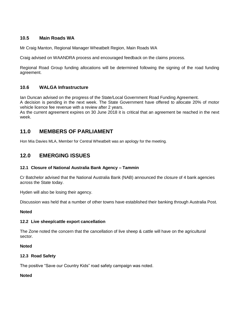### **10.5 Main Roads WA**

Mr Craig Manton, Regional Manager Wheatbelt Region, Main Roads WA

Craig advised on WAANDRA process and encouraged feedback on the claims process.

Regional Road Group funding allocations will be determined following the signing of the road funding agreement.

## **10.6 WALGA Infrastructure**

Ian Duncan advised on the progress of the State/Local Government Road Funding Agreement.

A decision is pending in the next week. The State Government have offered to allocate 20% of motor vehicle licence fee revenue with a review after 2 years.

As the current agreement expires on 30 June 2018 it is critical that an agreement be reached in the next week.

# <span id="page-16-0"></span>**11.0 MEMBERS OF PARLIAMENT**

Hon Mia Davies MLA, Member for Central Wheatbelt was an apology for the meeting.

# <span id="page-16-1"></span>**12.0 EMERGING ISSUES**

#### **12.1 Closure of National Australia Bank Agency – Tammin**

Cr Batchelor advised that the National Australia Bank (NAB) announced the closure of 4 bank agencies across the State today.

Hyden will also be losing their agency.

Discussion was held that a number of other towns have established their banking through Australia Post.

#### **Noted**

#### **12.2 Live sheep/cattle export cancellation**

The Zone noted the concern that the cancellation of live sheep & cattle will have on the agricultural sector.

#### **Noted**

#### **12.3 Road Safety**

The positive "Save our Country Kids" road safety campaign was noted.

#### **Noted**